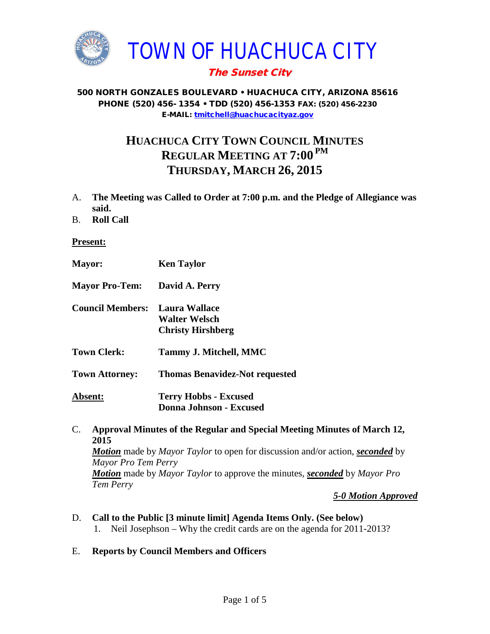

# The Sunset City

#### 500 NORTH GONZALES BOULEVARD • HUACHUCA CITY, ARIZONA 85616 PHONE (520) 456- 1354 • TDD (520) 456-1353 FAX: (520) 456-2230 E-MAIL: [tmitchell@huachucacityaz.gov](mailto:tmitchell@huachucacityaz.gov)

# **HUACHUCA CITY TOWN COUNCIL MINUTES REGULAR MEETING AT 7:00 PM THURSDAY, MARCH 26, 2015**

- A. **The Meeting was Called to Order at 7:00 p.m. and the Pledge of Allegiance was said.**
- B. **Roll Call**

#### **Present:**

| <b>Mayor:</b>                         | <b>Ken Taylor</b>                                              |
|---------------------------------------|----------------------------------------------------------------|
| <b>Mayor Pro-Tem:</b>                 | David A. Perry                                                 |
| <b>Council Members:</b> Laura Wallace | <b>Walter Welsch</b><br><b>Christy Hirshberg</b>               |
| <b>Town Clerk:</b>                    | Tammy J. Mitchell, MMC                                         |
| <b>Town Attorney:</b>                 | <b>Thomas Benavidez-Not requested</b>                          |
| Absent:                               | <b>Terry Hobbs - Excused</b><br><b>Donna Johnson - Excused</b> |

## C. **Approval Minutes of the Regular and Special Meeting Minutes of March 12, 2015** *Motion* made by *Mayor Taylor* to open for discussion and/or action, *seconded* by *Mayor Pro Tem Perry Motion* made by *Mayor Taylor* to approve the minutes, *seconded* by *Mayor Pro Tem Perry*

*5-0 Motion Approved*

- D. **Call to the Public [3 minute limit] Agenda Items Only. (See below)** 1. Neil Josephson – Why the credit cards are on the agenda for 2011-2013?
- E. **Reports by Council Members and Officers**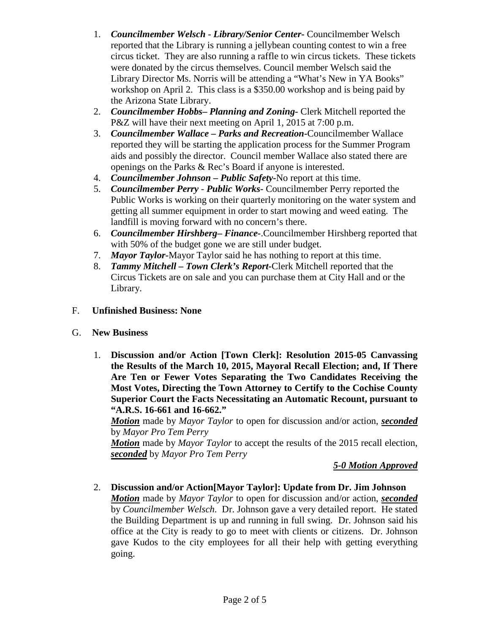- 1. *Councilmember Welsch - Library/Senior Center***-** Councilmember Welsch reported that the Library is running a jellybean counting contest to win a free circus ticket. They are also running a raffle to win circus tickets. These tickets were donated by the circus themselves. Council member Welsch said the Library Director Ms. Norris will be attending a "What's New in YA Books" workshop on April 2. This class is a \$350.00 workshop and is being paid by the Arizona State Library.
- 2. *Councilmember Hobbs***–** *Planning and Zoning-* Clerk Mitchell reported the P&Z will have their next meeting on April 1, 2015 at 7:00 p.m.
- 3. *Councilmember Wallace* **–** *Parks and Recreation***-**Councilmember Wallace reported they will be starting the application process for the Summer Program aids and possibly the director. Council member Wallace also stated there are openings on the Parks & Rec's Board if anyone is interested.
- 4. *Councilmember Johnson – Public Safety-*No report at this time.
- 5. *Councilmember Perry Public Works-* Councilmember Perry reported the Public Works is working on their quarterly monitoring on the water system and getting all summer equipment in order to start mowing and weed eating. The landfill is moving forward with no concern's there.
- 6. *Councilmember Hirshberg***–** *Finance-*.Councilmember Hirshberg reported that with 50% of the budget gone we are still under budget.
- 7. *Mayor Taylor-*Mayor Taylor said he has nothing to report at this time.
- 8. *Tammy Mitchell – Town Clerk's Report-*Clerk Mitchell reported that the Circus Tickets are on sale and you can purchase them at City Hall and or the Library.
- F. **Unfinished Business: None**
- G. **New Business**
	- 1. **Discussion and/or Action [Town Clerk]: Resolution 2015-05 Canvassing the Results of the March 10, 2015, Mayoral Recall Election; and, If There Are Ten or Fewer Votes Separating the Two Candidates Receiving the Most Votes, Directing the Town Attorney to Certify to the Cochise County Superior Court the Facts Necessitating an Automatic Recount, pursuant to "A.R.S. 16-661 and 16-662."**

*Motion* made by *Mayor Taylor* to open for discussion and/or action, *seconded* by *Mayor Pro Tem Perry*

*Motion* made by *Mayor Taylor* to accept the results of the 2015 recall election, *seconded* by *Mayor Pro Tem Perry*

### *5-0 Motion Approved*

2. **Discussion and/or Action[Mayor Taylor]: Update from Dr. Jim Johnson** *Motion* made by *Mayor Taylor* to open for discussion and/or action, *seconded* by *Councilmember Welsch*. Dr. Johnson gave a very detailed report. He stated the Building Department is up and running in full swing. Dr. Johnson said his office at the City is ready to go to meet with clients or citizens. Dr. Johnson gave Kudos to the city employees for all their help with getting everything going.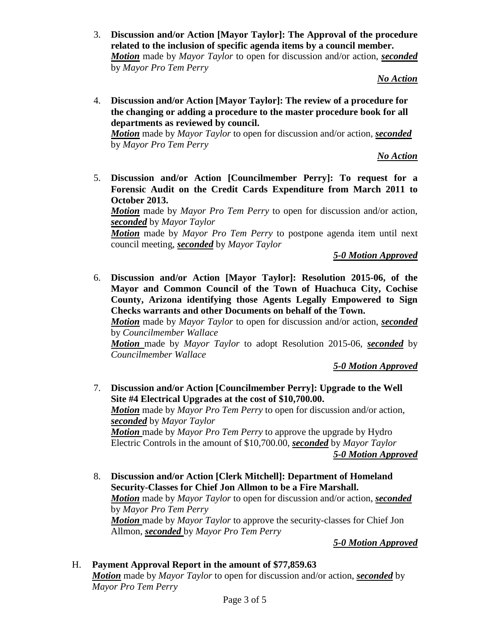3. **Discussion and/or Action [Mayor Taylor]: The Approval of the procedure related to the inclusion of specific agenda items by a council member.**  *Motion* made by *Mayor Taylor* to open for discussion and/or action, *seconded* by *Mayor Pro Tem Perry*

*No Action*

4. **Discussion and/or Action [Mayor Taylor]: The review of a procedure for the changing or adding a procedure to the master procedure book for all departments as reviewed by council.**

*Motion* made by *Mayor Taylor* to open for discussion and/or action, *seconded* by *Mayor Pro Tem Perry*

*No Action*

5. **Discussion and/or Action [Councilmember Perry]: To request for a Forensic Audit on the Credit Cards Expenditure from March 2011 to October 2013.** 

*Motion* made by *Mayor Pro Tem Perry* to open for discussion and/or action, *seconded* by *Mayor Taylor*

*Motion* made by *Mayor Pro Tem Perry* to postpone agenda item until next council meeting, *seconded* by *Mayor Taylor*

*5-0 Motion Approved*

6. **Discussion and/or Action [Mayor Taylor]: Resolution 2015-06, of the Mayor and Common Council of the Town of Huachuca City, Cochise County, Arizona identifying those Agents Legally Empowered to Sign Checks warrants and other Documents on behalf of the Town.**

*Motion* made by *Mayor Taylor* to open for discussion and/or action, *seconded* by *Councilmember Wallace*

*Motion* made by *Mayor Taylor* to adopt Resolution 2015-06, *seconded* by *Councilmember Wallace*

*5-0 Motion Approved*

- 7. **Discussion and/or Action [Councilmember Perry]: Upgrade to the Well Site #4 Electrical Upgrades at the cost of \$10,700.00.**  *Motion* made by *Mayor Pro Tem Perry* to open for discussion and/or action, *seconded* by *Mayor Taylor Motion* made by *Mayor Pro Tem Perry* to approve the upgrade by Hydro Electric Controls in the amount of \$10,700.00, *seconded* by *Mayor Taylor 5-0 Motion Approved*
- 8. **Discussion and/or Action [Clerk Mitchell]: Department of Homeland Security-Classes for Chief Jon Allmon to be a Fire Marshall.** *Motion* made by *Mayor Taylor* to open for discussion and/or action, *seconded* by *Mayor Pro Tem Perry Motion* made by *Mayor Taylor* to approve the security-classes for Chief Jon Allmon, *seconded* by *Mayor Pro Tem Perry*

*5-0 Motion Approved*

## H. **Payment Approval Report in the amount of \$77,859.63**

*Motion* made by *Mayor Taylor* to open for discussion and/or action, *seconded* by *Mayor Pro Tem Perry*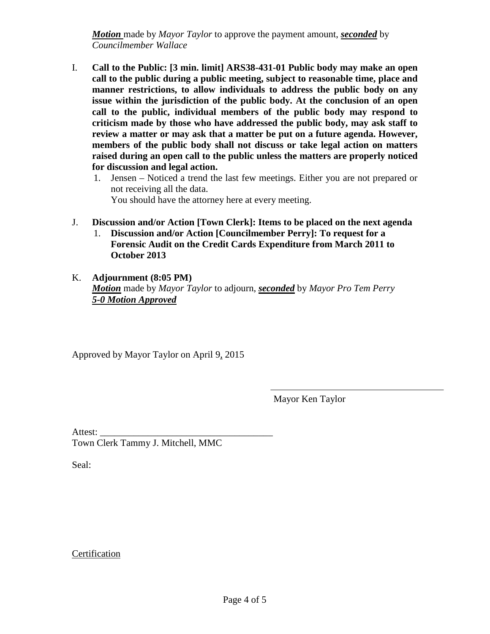*Motion* made by *Mayor Taylor* to approve the payment amount, *seconded* by *Councilmember Wallace*

- I. **Call to the Public: [3 min. limit] ARS38-431-01 Public body may make an open call to the public during a public meeting, subject to reasonable time, place and manner restrictions, to allow individuals to address the public body on any issue within the jurisdiction of the public body. At the conclusion of an open call to the public, individual members of the public body may respond to criticism made by those who have addressed the public body, may ask staff to review a matter or may ask that a matter be put on a future agenda. However, members of the public body shall not discuss or take legal action on matters raised during an open call to the public unless the matters are properly noticed for discussion and legal action.**
	- 1. Jensen Noticed a trend the last few meetings. Either you are not prepared or not receiving all the data. You should have the attorney here at every meeting.
- J. **Discussion and/or Action [Town Clerk]: Items to be placed on the next agenda** 1. **Discussion and/or Action [Councilmember Perry]: To request for a** 
	- **Forensic Audit on the Credit Cards Expenditure from March 2011 to October 2013**
- K. **Adjournment (8:05 PM)** *Motion* made by *Mayor Taylor* to adjourn, *seconded* by *Mayor Pro Tem Perry 5-0 Motion Approved*

Approved by Mayor Taylor on April 9, 2015

Mayor Ken Taylor

Attest: Town Clerk Tammy J. Mitchell, MMC

Seal:

**Certification**